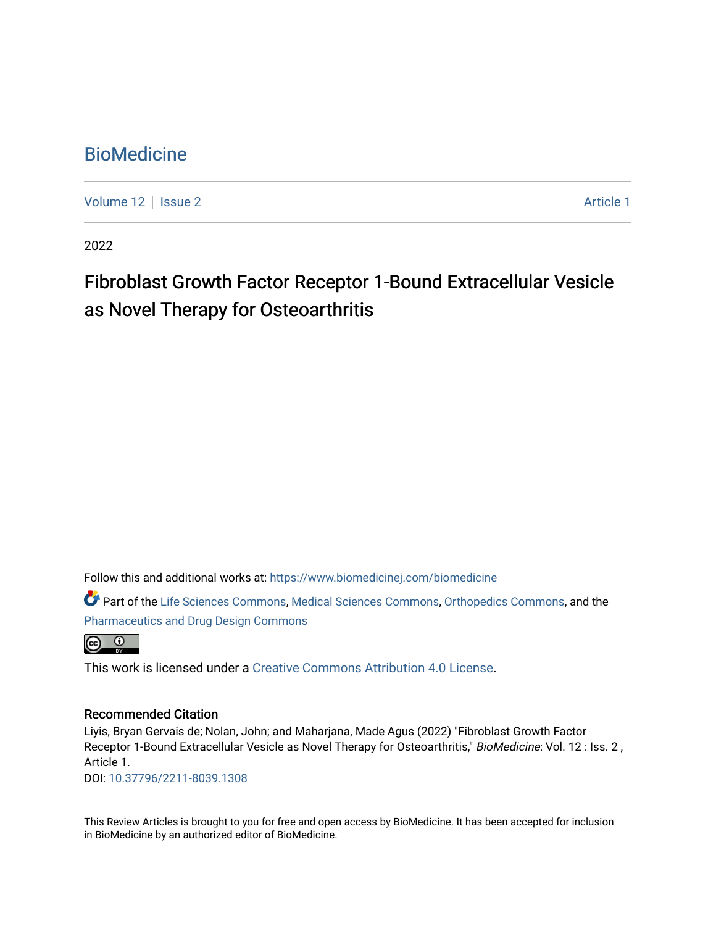# **BioMedicine**

[Volume 12](https://www.biomedicinej.com/biomedicine/vol12) | [Issue 2](https://www.biomedicinej.com/biomedicine/vol12/iss2) Article 1

2022

# Fibroblast Growth Factor Receptor 1-Bound Extracellular Vesicle as Novel Therapy for Osteoarthritis

Follow this and additional works at: [https://www.biomedicinej.com/biomedicine](https://www.biomedicinej.com/biomedicine?utm_source=www.biomedicinej.com%2Fbiomedicine%2Fvol12%2Fiss2%2F1&utm_medium=PDF&utm_campaign=PDFCoverPages)

Part of the [Life Sciences Commons,](https://network.bepress.com/hgg/discipline/1016?utm_source=www.biomedicinej.com%2Fbiomedicine%2Fvol12%2Fiss2%2F1&utm_medium=PDF&utm_campaign=PDFCoverPages) [Medical Sciences Commons,](https://network.bepress.com/hgg/discipline/664?utm_source=www.biomedicinej.com%2Fbiomedicine%2Fvol12%2Fiss2%2F1&utm_medium=PDF&utm_campaign=PDFCoverPages) [Orthopedics Commons](https://network.bepress.com/hgg/discipline/696?utm_source=www.biomedicinej.com%2Fbiomedicine%2Fvol12%2Fiss2%2F1&utm_medium=PDF&utm_campaign=PDFCoverPages), and the [Pharmaceutics and Drug Design Commons](https://network.bepress.com/hgg/discipline/733?utm_source=www.biomedicinej.com%2Fbiomedicine%2Fvol12%2Fiss2%2F1&utm_medium=PDF&utm_campaign=PDFCoverPages)



This work is licensed under a [Creative Commons Attribution 4.0 License](https://creativecommons.org/licenses/by/4.0/).

# Recommended Citation

Liyis, Bryan Gervais de; Nolan, John; and Maharjana, Made Agus (2022) "Fibroblast Growth Factor Receptor 1-Bound Extracellular Vesicle as Novel Therapy for Osteoarthritis," BioMedicine: Vol. 12 : Iss. 2, Article 1.

DOI: [10.37796/2211-8039.1308](https://doi.org/10.37796/2211-8039.1308) 

This Review Articles is brought to you for free and open access by BioMedicine. It has been accepted for inclusion in BioMedicine by an authorized editor of BioMedicine.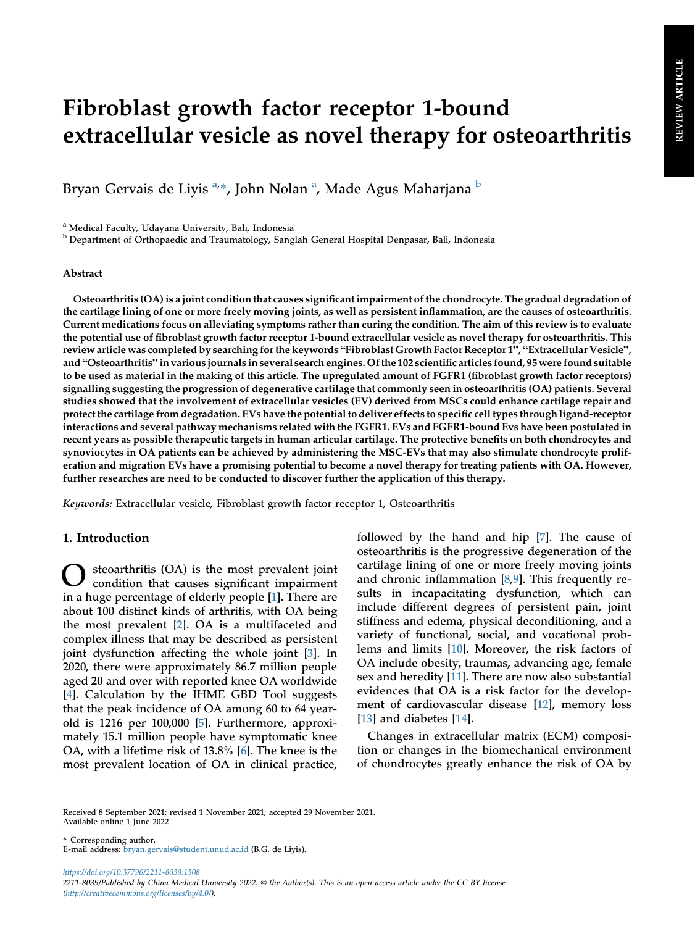# Fibroblast growth factor receptor 1-bound extracellular vesicle as novel therapy for osteoarthritis

Bry[a](#page-1-0)n Gervais de Liyis <sup>a,</sup>\*, John Nolan <sup>a</sup>, Made Agus Maharjana <sup>[b](#page-1-1)</sup>

<span id="page-1-0"></span><sup>a</sup> Medical Faculty, Udayana University, Bali, Indonesia

<span id="page-1-1"></span><sup>b</sup> Department of Orthopaedic and Traumatology, Sanglah General Hospital Denpasar, Bali, Indonesia

#### Abstract

Osteoarthritis (OA) is a joint condition that causes significant impairment of the chondrocyte. The gradual degradation of the cartilage lining of one or more freely moving joints, as well as persistent inflammation, are the causes of osteoarthritis. Current medications focus on alleviating symptoms rather than curing the condition. The aim of this review is to evaluate the potential use of fibroblast growth factor receptor 1-bound extracellular vesicle as novel therapy for osteoarthritis. This the potential use of fibroblast growth factor receptor 1-bound extracellular vesicle as novel therapy for osteoarthritis. This<br>review article was completed by searching for the keywords "Fibroblast Growth Factor Receptor 1 review article was completed by searching for the keywords "Fibroblast Growth Factor Receptor 1", "Extracellular Vesicle",<br>and "Osteoarthritis" in various journals in several search engines. Of the 102 scientific articles to be used as material in the making of this article. The upregulated amount of FGFR1 (fibroblast growth factor receptors) signalling suggesting the progression of degenerative cartilage that commonly seen in osteoarthritis (OA) patients. Several studies showed that the involvement of extracellular vesicles (EV) derived from MSCs could enhance cartilage repair and protect the cartilage from degradation. EVs have the potential to deliver effects to specific cell types through ligand-receptor interactions and several pathway mechanisms related with the FGFR1. EVs and FGFR1-bound Evs have been postulated in recent years as possible therapeutic targets in human articular cartilage. The protective benefits on both chondrocytes and synoviocytes in OA patients can be achieved by administering the MSC-EVs that may also stimulate chondrocyte proliferation and migration EVs have a promising potential to become a novel therapy for treating patients with OA. However, further researches are need to be conducted to discover further the application of this therapy.

Keywords: Extracellular vesicle, Fibroblast growth factor receptor 1, Osteoarthritis

# 1. Introduction

steoarthritis (OA) is the most prevalent joint condition that causes significant impairment in a huge percentage of elderly people [\[1](#page-7-0)]. There are about 100 distinct kinds of arthritis, with OA being the most prevalent [[2\]](#page-7-1). OA is a multifaceted and complex illness that may be described as persistent joint dysfunction affecting the whole joint [[3\]](#page-7-2). In 2020, there were approximately 86.7 million people aged 20 and over with reported knee OA worldwide [\[4](#page-7-3)]. Calculation by the IHME GBD Tool suggests that the peak incidence of OA among 60 to 64 yearold is 1216 per 100,000 [\[5](#page-7-4)]. Furthermore, approximately 15.1 million people have symptomatic knee OA, with a lifetime risk of 13.8% [\[6](#page-7-5)]. The knee is the most prevalent location of OA in clinical practice,

followed by the hand and hip [[7\]](#page-7-6). The cause of osteoarthritis is the progressive degeneration of the cartilage lining of one or more freely moving joints and chronic inflammation [\[8](#page-7-7),[9\]](#page-7-8). This frequently results in incapacitating dysfunction, which can include different degrees of persistent pain, joint stiffness and edema, physical deconditioning, and a variety of functional, social, and vocational problems and limits [[10\]](#page-7-9). Moreover, the risk factors of OA include obesity, traumas, advancing age, female sex and heredity [\[11](#page-7-10)]. There are now also substantial evidences that OA is a risk factor for the development of cardiovascular disease [\[12](#page-7-11)], memory loss [\[13](#page-7-12)] and diabetes [[14\]](#page-7-13).

Changes in extracellular matrix (ECM) composition or changes in the biomechanical environment of chondrocytes greatly enhance the risk of OA by

Received 8 September 2021; revised 1 November 2021; accepted 29 November 2021. Available online 1 June 2022

\* Corresponding author. E-mail address: [bryan.gervais@student.unud.ac.id](mailto:bryan.gervais@student.unud.ac.id) (B.G. de Liyis).

<https://doi.org/10.37796/2211-8039.1308> 2211-8039/Published by China Medical University 2022. © the Author(s). This is an open access article under the CC BY license [\(http://creativecommons.org/licenses/by/4.0/](http://creativecommons.org/licenses/by/4.0/)).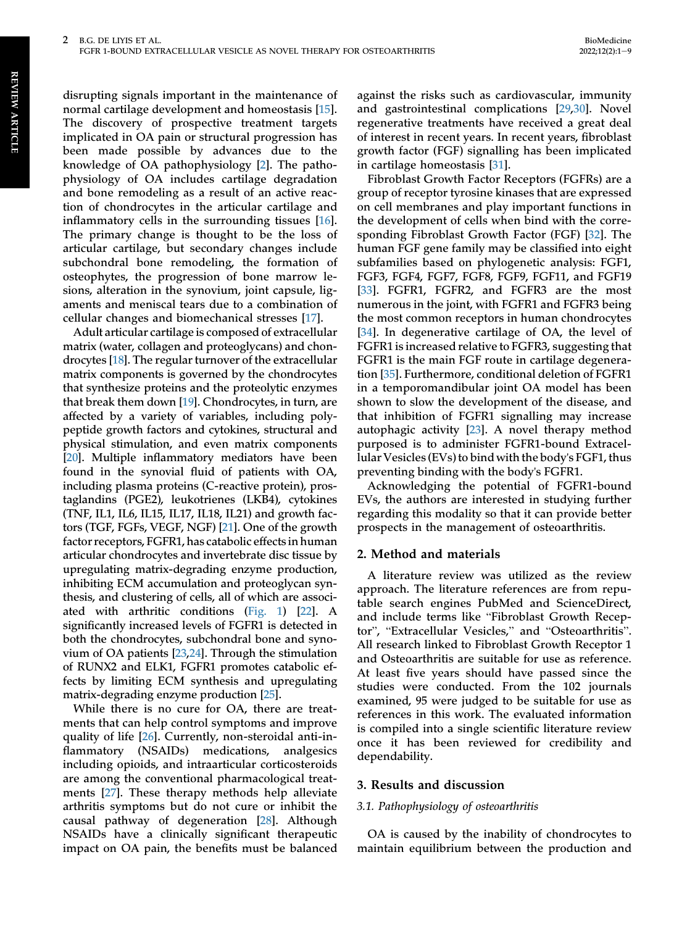disrupting signals important in the maintenance of normal cartilage development and homeostasis [\[15](#page-7-14)]. The discovery of prospective treatment targets implicated in OA pain or structural progression has been made possible by advances due to the knowledge of OA pathophysiology [\[2](#page-7-1)]. The pathophysiology of OA includes cartilage degradation and bone remodeling as a result of an active reaction of chondrocytes in the articular cartilage and inflammatory cells in the surrounding tissues [\[16](#page-7-15)]. The primary change is thought to be the loss of articular cartilage, but secondary changes include subchondral bone remodeling, the formation of osteophytes, the progression of bone marrow lesions, alteration in the synovium, joint capsule, ligaments and meniscal tears due to a combination of cellular changes and biomechanical stresses [[17\]](#page-7-16).

Adult articular cartilage is composed of extracellular matrix (water, collagen and proteoglycans) and chondrocytes [\[18](#page-7-17)]. The regular turnover of the extracellular matrix components is governed by the chondrocytes that synthesize proteins and the proteolytic enzymes that break them down [\[19](#page-7-18)]. Chondrocytes, in turn, are affected by a variety of variables, including polypeptide growth factors and cytokines, structural and physical stimulation, and even matrix components [\[20\]](#page-7-19). Multiple inflammatory mediators have been found in the synovial fluid of patients with OA, including plasma proteins (C-reactive protein), prostaglandins (PGE2), leukotrienes (LKB4), cytokines (TNF, IL1, IL6, IL15, IL17, IL18, IL21) and growth factors (TGF, FGFs, VEGF, NGF) [\[21](#page-7-20)]. One of the growth factor receptors, FGFR1, has catabolic effects in human articular chondrocytes and invertebrate disc tissue by upregulating matrix-degrading enzyme production, inhibiting ECM accumulation and proteoglycan synthesis, and clustering of cells, all of which are associated with arthritic conditions ([Fig. 1](#page-3-0)) [\[22](#page-7-21)]. A significantly increased levels of FGFR1 is detected in both the chondrocytes, subchondral bone and synovium of OA patients [\[23](#page-8-0)[,24](#page-8-1)]. Through the stimulation of RUNX2 and ELK1, FGFR1 promotes catabolic effects by limiting ECM synthesis and upregulating matrix-degrading enzyme production [\[25\]](#page-8-2).

While there is no cure for OA, there are treatments that can help control symptoms and improve quality of life [[26\]](#page-8-3). Currently, non-steroidal anti-inflammatory (NSAIDs) medications, analgesics including opioids, and intraarticular corticosteroids are among the conventional pharmacological treatments [[27\]](#page-8-4). These therapy methods help alleviate arthritis symptoms but do not cure or inhibit the causal pathway of degeneration [\[28](#page-8-5)]. Although NSAIDs have a clinically significant therapeutic impact on OA pain, the benefits must be balanced against the risks such as cardiovascular, immunity and gastrointestinal complications [\[29](#page-8-6),[30\]](#page-8-7). Novel regenerative treatments have received a great deal of interest in recent years. In recent years, fibroblast growth factor (FGF) signalling has been implicated in cartilage homeostasis [\[31](#page-8-8)].

Fibroblast Growth Factor Receptors (FGFRs) are a group of receptor tyrosine kinases that are expressed on cell membranes and play important functions in the development of cells when bind with the corresponding Fibroblast Growth Factor (FGF) [[32](#page-8-9)]. The human FGF gene family may be classified into eight subfamilies based on phylogenetic analysis: FGF1, FGF3, FGF4, FGF7, FGF8, FGF9, FGF11, and FGF19 [\[33](#page-8-10)]. FGFR1, FGFR2, and FGFR3 are the most numerous in the joint, with FGFR1 and FGFR3 being the most common receptors in human chondrocytes [\[34](#page-8-11)]. In degenerative cartilage of OA, the level of FGFR1 is increased relative to FGFR3, suggesting that FGFR1 is the main FGF route in cartilage degeneration [[35\]](#page-8-12). Furthermore, conditional deletion of FGFR1 in a temporomandibular joint OA model has been shown to slow the development of the disease, and that inhibition of FGFR1 signalling may increase autophagic activity [\[23](#page-8-0)]. A novel therapy method purposed is to administer FGFR1-bound Extracellular Vesicles (EVs) to bind with the body's FGF1, thus preventing binding with the body's FGFR1.

Acknowledging the potential of FGFR1-bound EVs, the authors are interested in studying further regarding this modality so that it can provide better prospects in the management of osteoarthritis.

#### 2. Method and materials

A literature review was utilized as the review approach. The literature references are from reputable search engines PubMed and ScienceDirect, approach. The inerature references are from repu-<br>table search engines PubMed and ScienceDirect,<br>and include terms like "Fibroblast Growth Receptable search engines rubilied and ScienceDirect,<br>and include terms like "Fibroblast Growth Recep-<br>tor", "Extracellular Vesicles," and "Osteoarthritis". All research linked to Fibroblast Growth Receptor 1 and Osteoarthritis are suitable for use as reference. At least five years should have passed since the studies were conducted. From the 102 journals examined, 95 were judged to be suitable for use as references in this work. The evaluated information is compiled into a single scientific literature review once it has been reviewed for credibility and dependability.

#### 3. Results and discussion

#### 3.1. Pathophysiology of osteoarthritis

OA is caused by the inability of chondrocytes to maintain equilibrium between the production and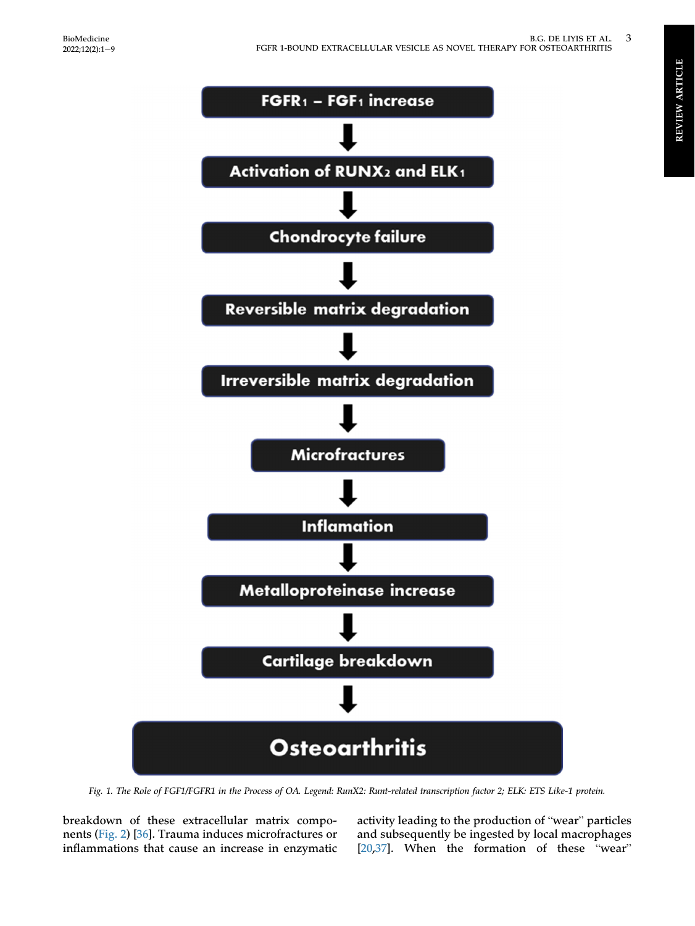

<span id="page-3-0"></span>

Fig. 1. The Role of FGF1/FGFR1 in the Process of OA. Legend: RunX2: Runt-related transcription factor 2; ELK: ETS Like-1 protein.

breakdown of these extracellular matrix components [\(Fig. 2](#page-4-0)) [\[36](#page-8-13)]. Trauma induces microfractures or inflammations that cause an increase in enzymatic

activity leading to the production of "wear" particles and subsequently be ingested by local macrophages activity leading to the production of wear particles<br>and subsequently be ingested by local macrophages<br>[\[20](#page-7-19),[37\]](#page-8-14). When the formation of these "wear"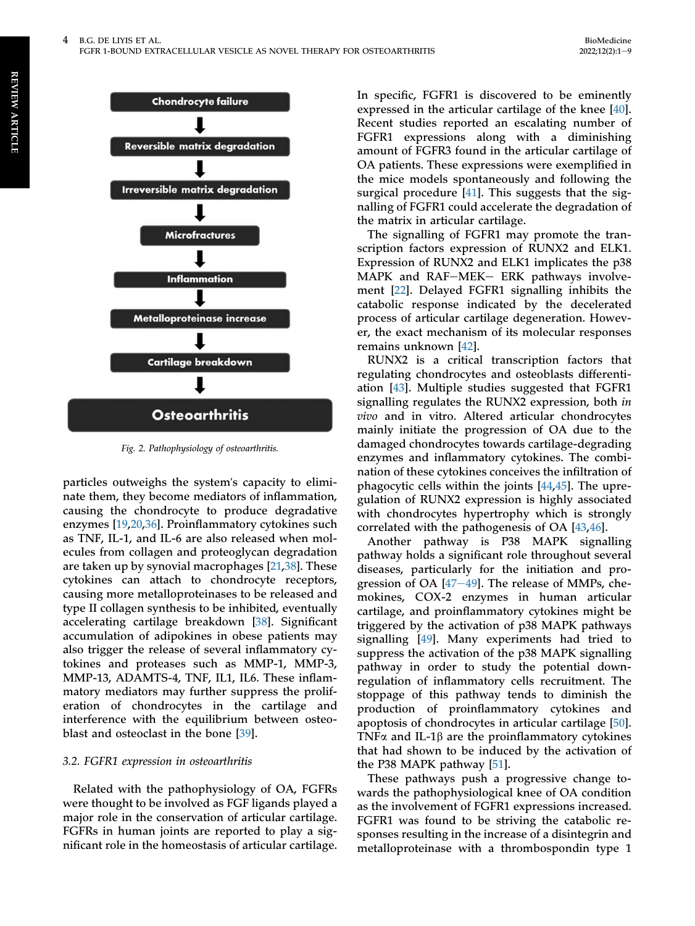

<span id="page-4-0"></span>

Fig. 2. Pathophysiology of osteoarthritis.

particles outweighs the system's capacity to eliminate them, they become mediators of inflammation, causing the chondrocyte to produce degradative enzymes [[19,](#page-7-18)[20](#page-7-19),[36\]](#page-8-13). Proinflammatory cytokines such as TNF, IL-1, and IL-6 are also released when molecules from collagen and proteoglycan degradation are taken up by synovial macrophages [[21,](#page-7-20)[38](#page-8-15)]. These cytokines can attach to chondrocyte receptors, causing more metalloproteinases to be released and type II collagen synthesis to be inhibited, eventually accelerating cartilage breakdown [\[38](#page-8-15)]. Significant accumulation of adipokines in obese patients may also trigger the release of several inflammatory cytokines and proteases such as MMP-1, MMP-3, MMP-13, ADAMTS-4, TNF, IL1, IL6. These inflammatory mediators may further suppress the proliferation of chondrocytes in the cartilage and interference with the equilibrium between osteoblast and osteoclast in the bone [\[39](#page-8-16)].

# 3.2. FGFR1 expression in osteoarthritis

Related with the pathophysiology of OA, FGFRs were thought to be involved as FGF ligands played a major role in the conservation of articular cartilage. FGFRs in human joints are reported to play a significant role in the homeostasis of articular cartilage. In specific, FGFR1 is discovered to be eminently expressed in the articular cartilage of the knee [[40\]](#page-8-17). Recent studies reported an escalating number of FGFR1 expressions along with a diminishing amount of FGFR3 found in the articular cartilage of OA patients. These expressions were exemplified in the mice models spontaneously and following the surgical procedure [\[41](#page-8-18)]. This suggests that the signalling of FGFR1 could accelerate the degradation of the matrix in articular cartilage.

The signalling of FGFR1 may promote the transcription factors expression of RUNX2 and ELK1. Expression of RUNX2 and ELK1 implicates the p38 MAPK and RAF-MEK- ERK pathways involvement [\[22](#page-7-21)]. Delayed FGFR1 signalling inhibits the catabolic response indicated by the decelerated process of articular cartilage degeneration. However, the exact mechanism of its molecular responses remains unknown [[42\]](#page-8-19).

RUNX2 is a critical transcription factors that regulating chondrocytes and osteoblasts differentiation [[43\]](#page-8-20). Multiple studies suggested that FGFR1 signalling regulates the RUNX2 expression, both in vivo and in vitro. Altered articular chondrocytes mainly initiate the progression of OA due to the damaged chondrocytes towards cartilage-degrading enzymes and inflammatory cytokines. The combination of these cytokines conceives the infiltration of phagocytic cells within the joints [[44,](#page-8-21)[45](#page-8-22)]. The upregulation of RUNX2 expression is highly associated with chondrocytes hypertrophy which is strongly correlated with the pathogenesis of OA [\[43](#page-8-20),[46\]](#page-8-23).

Another pathway is P38 MAPK signalling pathway holds a significant role throughout several diseases, particularly for the initiation and progression of OA  $[47-49]$  $[47-49]$  $[47-49]$  $[47-49]$  $[47-49]$ . The release of MMPs, chemokines, COX-2 enzymes in human articular cartilage, and proinflammatory cytokines might be triggered by the activation of p38 MAPK pathways signalling [[49\]](#page-8-25). Many experiments had tried to suppress the activation of the p38 MAPK signalling pathway in order to study the potential downregulation of inflammatory cells recruitment. The stoppage of this pathway tends to diminish the production of proinflammatory cytokines and apoptosis of chondrocytes in articular cartilage [[50\]](#page-8-26). TNF $\alpha$  and IL-1 $\beta$  are the proinflammatory cytokines that had shown to be induced by the activation of the P38 MAPK pathway [\[51](#page-8-27)].

These pathways push a progressive change towards the pathophysiological knee of OA condition as the involvement of FGFR1 expressions increased. FGFR1 was found to be striving the catabolic responses resulting in the increase of a disintegrin and metalloproteinase with a thrombospondin type 1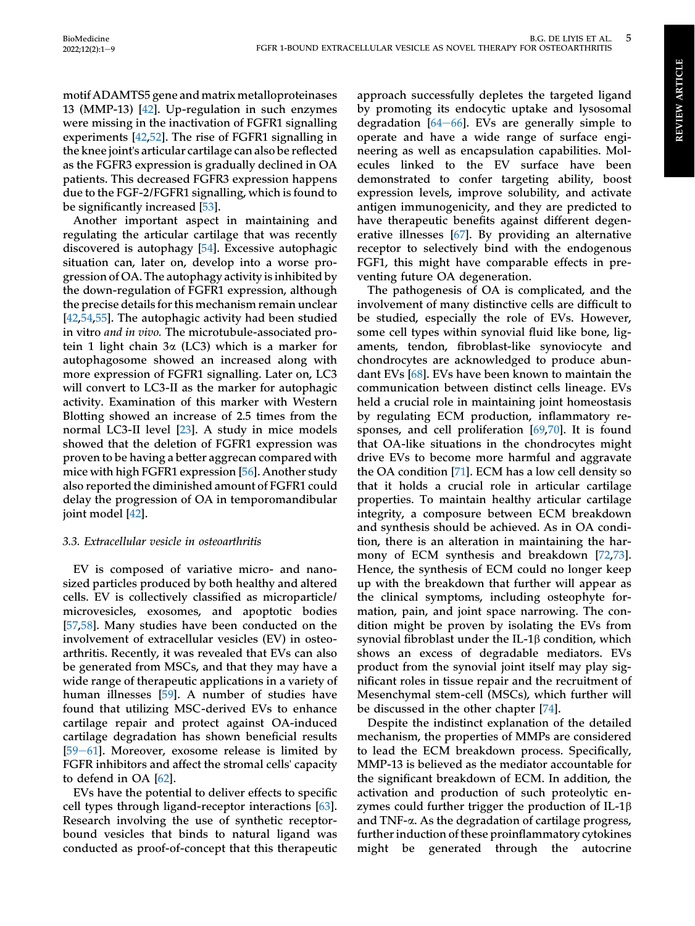motif ADAMTS5 gene and matrix metalloproteinases 13 (MMP-13) [[42\]](#page-8-19). Up-regulation in such enzymes were missing in the inactivation of FGFR1 signalling experiments [\[42](#page-8-19),[52\]](#page-8-28). The rise of FGFR1 signalling in the knee joint's articular cartilage can also be reflected as the FGFR3 expression is gradually declined in OA patients. This decreased FGFR3 expression happens due to the FGF-2/FGFR1 signalling, which is found to be significantly increased [[53\]](#page-8-29).

Another important aspect in maintaining and regulating the articular cartilage that was recently discovered is autophagy [[54\]](#page-8-30). Excessive autophagic situation can, later on, develop into a worse progression of OA. The autophagy activity is inhibited by the down-regulation of FGFR1 expression, although the precise details for this mechanism remain unclear [\[42](#page-8-19),[54,](#page-8-30)[55](#page-8-31)]. The autophagic activity had been studied in vitro and in vivo. The microtubule-associated protein 1 light chain 3a (LC3) which is a marker for autophagosome showed an increased along with more expression of FGFR1 signalling. Later on, LC3 will convert to LC3-II as the marker for autophagic activity. Examination of this marker with Western Blotting showed an increase of 2.5 times from the normal LC3-II level [\[23](#page-8-0)]. A study in mice models showed that the deletion of FGFR1 expression was proven to be having a better aggrecan compared with mice with high FGFR1 expression [\[56](#page-8-32)]. Another study also reported the diminished amount of FGFR1 could delay the progression of OA in temporomandibular joint model [\[42](#page-8-19)].

# 3.3. Extracellular vesicle in osteoarthritis

EV is composed of variative micro- and nanosized particles produced by both healthy and altered cells. EV is collectively classified as microparticle/ microvesicles, exosomes, and apoptotic bodies [\[57](#page-8-33),[58\]](#page-8-34). Many studies have been conducted on the involvement of extracellular vesicles (EV) in osteoarthritis. Recently, it was revealed that EVs can also be generated from MSCs, and that they may have a wide range of therapeutic applications in a variety of human illnesses [[59\]](#page-8-35). A number of studies have found that utilizing MSC-derived EVs to enhance cartilage repair and protect against OA-induced cartilage degradation has shown beneficial results [\[59](#page-8-35) $-61$ ]. Moreover, exosome release is limited by FGFR inhibitors and affect the stromal cells' capacity to defend in OA [\[62](#page-9-0)].

EVs have the potential to deliver effects to specific cell types through ligand-receptor interactions [\[63](#page-9-1)]. Research involving the use of synthetic receptorbound vesicles that binds to natural ligand was conducted as proof-of-concept that this therapeutic approach successfully depletes the targeted ligand by promoting its endocytic uptake and lysosomal degradation  $[64-66]$  $[64-66]$  $[64-66]$ . EVs are generally simple to operate and have a wide range of surface engineering as well as encapsulation capabilities. Molecules linked to the EV surface have been demonstrated to confer targeting ability, boost expression levels, improve solubility, and activate antigen immunogenicity, and they are predicted to have therapeutic benefits against different degenerative illnesses [[67\]](#page-9-3). By providing an alternative receptor to selectively bind with the endogenous FGF1, this might have comparable effects in preventing future OA degeneration.

The pathogenesis of OA is complicated, and the involvement of many distinctive cells are difficult to be studied, especially the role of EVs. However, some cell types within synovial fluid like bone, ligaments, tendon, fibroblast-like synoviocyte and chondrocytes are acknowledged to produce abundant EVs [[68](#page-9-4)]. EVs have been known to maintain the communication between distinct cells lineage. EVs held a crucial role in maintaining joint homeostasis by regulating ECM production, inflammatory responses, and cell proliferation [\[69](#page-9-5),[70\]](#page-9-6). It is found that OA-like situations in the chondrocytes might drive EVs to become more harmful and aggravate the OA condition [[71\]](#page-9-7). ECM has a low cell density so that it holds a crucial role in articular cartilage properties. To maintain healthy articular cartilage integrity, a composure between ECM breakdown and synthesis should be achieved. As in OA condition, there is an alteration in maintaining the harmony of ECM synthesis and breakdown [\[72](#page-9-8),[73\]](#page-9-9). Hence, the synthesis of ECM could no longer keep up with the breakdown that further will appear as the clinical symptoms, including osteophyte formation, pain, and joint space narrowing. The condition might be proven by isolating the EVs from synovial fibroblast under the IL-1 $\beta$  condition, which shows an excess of degradable mediators. EVs product from the synovial joint itself may play significant roles in tissue repair and the recruitment of Mesenchymal stem-cell (MSCs), which further will be discussed in the other chapter [\[74](#page-9-10)].

Despite the indistinct explanation of the detailed mechanism, the properties of MMPs are considered to lead the ECM breakdown process. Specifically, MMP-13 is believed as the mediator accountable for the significant breakdown of ECM. In addition, the activation and production of such proteolytic enzymes could further trigger the production of IL-1 $\beta$ and TNF-a. As the degradation of cartilage progress, further induction of these proinflammatory cytokines might be generated through the autocrine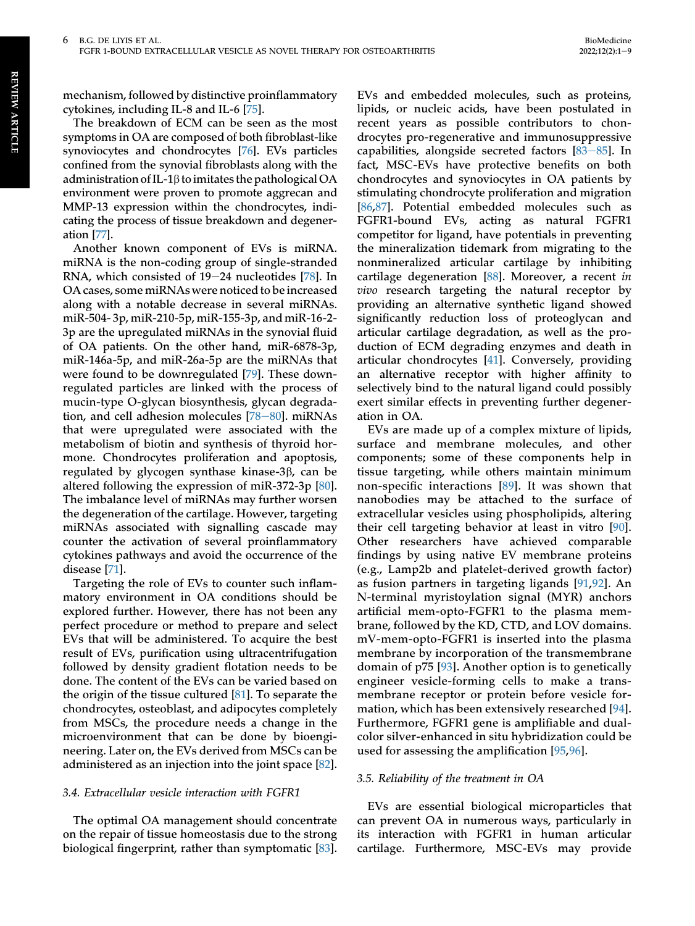mechanism, followed by distinctive proinflammatory cytokines, including IL-8 and IL-6 [\[75](#page-9-11)].

The breakdown of ECM can be seen as the most symptoms in OA are composed of both fibroblast-like synoviocytes and chondrocytes [\[76\]](#page-9-12). EVs particles confined from the synovial fibroblasts along with the administration of IL-1 $\beta$  to imitates the pathological OA environment were proven to promote aggrecan and MMP-13 expression within the chondrocytes, indicating the process of tissue breakdown and degeneration [[77\]](#page-9-13).

Another known component of EVs is miRNA. miRNA is the non-coding group of single-stranded RNA, which consisted of  $19-24$  nucleotides [[78](#page-9-14)]. In OA cases, some miRNAs were noticed to be increased along with a notable decrease in several miRNAs. miR-504- 3p, miR-210-5p, miR-155-3p, and miR-16-2- 3p are the upregulated miRNAs in the synovial fluid of OA patients. On the other hand, miR-6878-3p, miR-146a-5p, and miR-26a-5p are the miRNAs that were found to be downregulated [[79\]](#page-9-15). These downregulated particles are linked with the process of mucin-type O-glycan biosynthesis, glycan degradation, and cell adhesion molecules  $[78-80]$  $[78-80]$  $[78-80]$  $[78-80]$  $[78-80]$ . miRNAs that were upregulated were associated with the metabolism of biotin and synthesis of thyroid hormone. Chondrocytes proliferation and apoptosis, regulated by glycogen synthase kinase-3b, can be altered following the expression of miR-372-3p [\[80](#page-9-16)]. The imbalance level of miRNAs may further worsen the degeneration of the cartilage. However, targeting miRNAs associated with signalling cascade may counter the activation of several proinflammatory cytokines pathways and avoid the occurrence of the disease [[71\]](#page-9-7).

Targeting the role of EVs to counter such inflammatory environment in OA conditions should be explored further. However, there has not been any perfect procedure or method to prepare and select EVs that will be administered. To acquire the best result of EVs, purification using ultracentrifugation followed by density gradient flotation needs to be done. The content of the EVs can be varied based on the origin of the tissue cultured [\[81](#page-9-17)]. To separate the chondrocytes, osteoblast, and adipocytes completely from MSCs, the procedure needs a change in the microenvironment that can be done by bioengineering. Later on, the EVs derived from MSCs can be administered as an injection into the joint space [\[82](#page-9-18)].

#### 3.4. Extracellular vesicle interaction with FGFR1

The optimal OA management should concentrate on the repair of tissue homeostasis due to the strong biological fingerprint, rather than symptomatic [\[83](#page-9-19)].

EVs and embedded molecules, such as proteins, lipids, or nucleic acids, have been postulated in recent years as possible contributors to chondrocytes pro-regenerative and immunosuppressive capabilities, alongside secreted factors  $[83-85]$  $[83-85]$  $[83-85]$  $[83-85]$  $[83-85]$ . In fact, MSC-EVs have protective benefits on both chondrocytes and synoviocytes in OA patients by stimulating chondrocyte proliferation and migration [\[86](#page-9-20),[87\]](#page-9-21). Potential embedded molecules such as FGFR1-bound EVs, acting as natural FGFR1 competitor for ligand, have potentials in preventing the mineralization tidemark from migrating to the nonmineralized articular cartilage by inhibiting cartilage degeneration [\[88](#page-9-22)]. Moreover, a recent in vivo research targeting the natural receptor by providing an alternative synthetic ligand showed significantly reduction loss of proteoglycan and articular cartilage degradation, as well as the production of ECM degrading enzymes and death in articular chondrocytes [[41\]](#page-8-18). Conversely, providing an alternative receptor with higher affinity to selectively bind to the natural ligand could possibly exert similar effects in preventing further degeneration in OA.

EVs are made up of a complex mixture of lipids, surface and membrane molecules, and other components; some of these components help in tissue targeting, while others maintain minimum non-specific interactions [[89\]](#page-9-23). It was shown that nanobodies may be attached to the surface of extracellular vesicles using phospholipids, altering their cell targeting behavior at least in vitro [\[90\]](#page-9-24). Other researchers have achieved comparable findings by using native EV membrane proteins (e.g., Lamp2b and platelet-derived growth factor) as fusion partners in targeting ligands [[91](#page-9-25),[92\]](#page-9-26). An N-terminal myristoylation signal (MYR) anchors artificial mem-opto-FGFR1 to the plasma membrane, followed by the KD, CTD, and LOV domains. mV-mem-opto-FGFR1 is inserted into the plasma membrane by incorporation of the transmembrane domain of p75 [[93](#page-9-27)]. Another option is to genetically engineer vesicle-forming cells to make a transmembrane receptor or protein before vesicle formation, which has been extensively researched [\[94\]](#page-9-28). Furthermore, FGFR1 gene is amplifiable and dualcolor silver-enhanced in situ hybridization could be used for assessing the amplification [\[95](#page-9-29),[96](#page-9-30)].

#### 3.5. Reliability of the treatment in OA

EVs are essential biological microparticles that can prevent OA in numerous ways, particularly in its interaction with FGFR1 in human articular cartilage. Furthermore, MSC-EVs may provide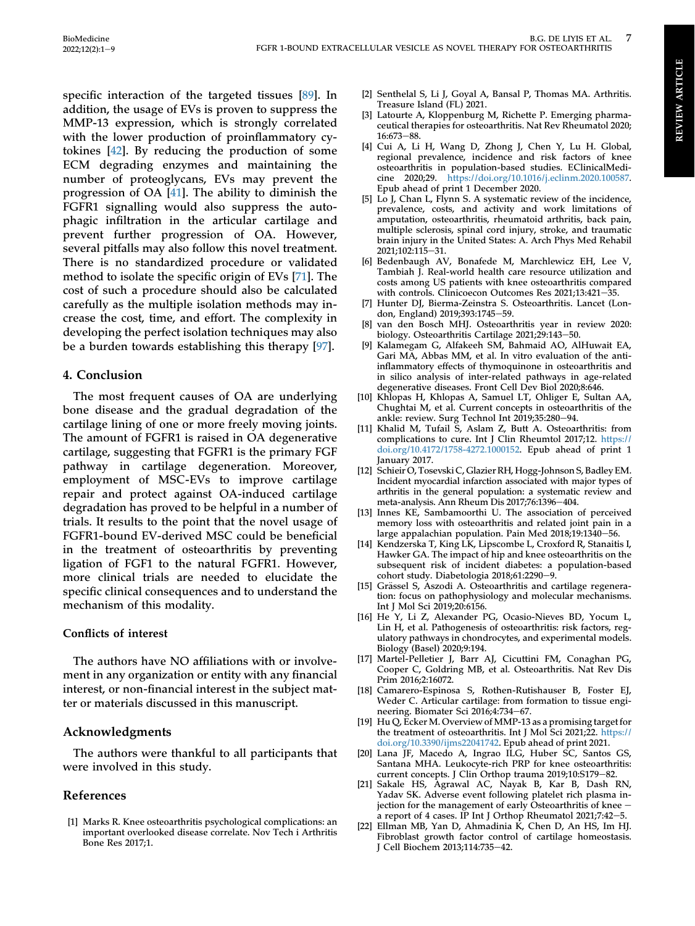specific interaction of the targeted tissues [\[89](#page-9-23)]. In addition, the usage of EVs is proven to suppress the MMP-13 expression, which is strongly correlated with the lower production of proinflammatory cytokines [[42\]](#page-8-19). By reducing the production of some ECM degrading enzymes and maintaining the number of proteoglycans, EVs may prevent the progression of OA [\[41](#page-8-18)]. The ability to diminish the FGFR1 signalling would also suppress the autophagic infiltration in the articular cartilage and prevent further progression of OA. However, several pitfalls may also follow this novel treatment. There is no standardized procedure or validated method to isolate the specific origin of EVs [\[71](#page-9-7)]. The cost of such a procedure should also be calculated carefully as the multiple isolation methods may increase the cost, time, and effort. The complexity in developing the perfect isolation techniques may also be a burden towards establishing this therapy [\[97](#page-9-31)].

### 4. Conclusion

The most frequent causes of OA are underlying bone disease and the gradual degradation of the cartilage lining of one or more freely moving joints. The amount of FGFR1 is raised in OA degenerative cartilage, suggesting that FGFR1 is the primary FGF pathway in cartilage degeneration. Moreover, employment of MSC-EVs to improve cartilage repair and protect against OA-induced cartilage degradation has proved to be helpful in a number of trials. It results to the point that the novel usage of FGFR1-bound EV-derived MSC could be beneficial in the treatment of osteoarthritis by preventing ligation of FGF1 to the natural FGFR1. However, more clinical trials are needed to elucidate the specific clinical consequences and to understand the mechanism of this modality.

#### Conflicts of interest

The authors have NO affiliations with or involvement in any organization or entity with any financial interest, or non-financial interest in the subject matter or materials discussed in this manuscript.

# Acknowledgments

The authors were thankful to all participants that were involved in this study.

# References

<span id="page-7-0"></span>[1] Marks R. Knee osteoarthritis psychological complications: an important overlooked disease correlate. Nov Tech i Arthritis Bone Res 2017;1.

- <span id="page-7-1"></span>[2] Senthelal S, Li J, Goyal A, Bansal P, Thomas MA. Arthritis. Treasure Island (FL) 2021.
- <span id="page-7-2"></span>[3] Latourte A, Kloppenburg M, Richette P. Emerging pharmaceutical therapies for osteoarthritis. Nat Rev Rheumatol 2020; 16:673-88.
- <span id="page-7-3"></span>[4] Cui A, Li H, Wang D, Zhong J, Chen Y, Lu H. Global, regional prevalence, incidence and risk factors of knee osteoarthritis in population-based studies. EClinicalMedicine 2020;29. <https://doi.org/10.1016/j.eclinm.2020.100587>. Epub ahead of print 1 December 2020.
- <span id="page-7-4"></span>[5] Lo J, Chan L, Flynn S. A systematic review of the incidence, prevalence, costs, and activity and work limitations of amputation, osteoarthritis, rheumatoid arthritis, back pain, multiple sclerosis, spinal cord injury, stroke, and traumatic brain injury in the United States: A. Arch Phys Med Rehabil 2021;102:115-31.
- <span id="page-7-5"></span>[6] Bedenbaugh AV, Bonafede M, Marchlewicz EH, Lee V, Tambiah J. Real-world health care resource utilization and costs among US patients with knee osteoarthritis compared with controls. Clinicoecon Outcomes Res  $2021;13:421-\overline{35}$ .
- <span id="page-7-6"></span>[7] Hunter DJ, Bierma-Zeinstra S. Osteoarthritis. Lancet (London, England) 2019;393:1745-59.
- <span id="page-7-7"></span>[8] van den Bosch MHJ. Osteoarthritis year in review 2020: biology. Osteoarthritis Cartilage 2021;29:143-50.
- <span id="page-7-8"></span>[9] Kalamegam G, Alfakeeh SM, Bahmaid AO, AlHuwait EA, Gari MA, Abbas MM, et al. In vitro evaluation of the antiinflammatory effects of thymoquinone in osteoarthritis and in silico analysis of inter-related pathways in age-related degenerative diseases. Front Cell Dev Biol 2020;8:646.
- <span id="page-7-9"></span>[10] Khlopas H, Khlopas A, Samuel LT, Ohliger E, Sultan AA, Chughtai M, et al. Current concepts in osteoarthritis of the ankle: review. Surg Technol Int 2019;35:280-94.
- <span id="page-7-10"></span>[11] Khalid M, Tufail S, Aslam Z, Butt A. Osteoarthritis: from complications to cure. Int J Clin Rheumtol 2017;12. [https://](https://doi.org/10.4172/1758-4272.1000152) [doi.org/10.4172/1758-4272.1000152](https://doi.org/10.4172/1758-4272.1000152). Epub ahead of print 1 January 2017.
- <span id="page-7-11"></span>[12] Schieir O, Tosevski C, Glazier RH, Hogg-Johnson S, Badley EM. Incident myocardial infarction associated with major types of arthritis in the general population: a systematic review and meta-analysis. Ann Rheum Dis 2017;76:1396-404.
- <span id="page-7-12"></span>[13] Innes KE, Sambamoorthi U. The association of perceived memory loss with osteoarthritis and related joint pain in a large appalachian population. Pain Med  $2018,19:1340-56$ .
- <span id="page-7-13"></span>[14] Kendzerska T, King LK, Lipscombe L, Croxford R, Stanaitis I, Hawker GA. The impact of hip and knee osteoarthritis on the subsequent risk of incident diabetes: a population-based cohort study. Diabetologia 2018;61:2290-9.
- <span id="page-7-14"></span>[15] Grässel S, Aszodi A. Osteoarthritis and cartilage regeneration: focus on pathophysiology and molecular mechanisms. Int J Mol Sci 2019;20:6156.
- <span id="page-7-15"></span>[16] He Y, Li Z, Alexander PG, Ocasio-Nieves BD, Yocum L, Lin H, et al. Pathogenesis of osteoarthritis: risk factors, regulatory pathways in chondrocytes, and experimental models. Biology (Basel) 2020;9:194.
- <span id="page-7-16"></span>[17] Martel-Pelletier J, Barr AJ, Cicuttini FM, Conaghan PG, Cooper C, Goldring MB, et al. Osteoarthritis. Nat Rev Dis Prim 2016;2:16072.
- <span id="page-7-17"></span>[18] Camarero-Espinosa S, Rothen-Rutishauser B, Foster EJ, Weder C. Articular cartilage: from formation to tissue engineering. Biomater Sci 2016;4:734-67.
- <span id="page-7-18"></span>[19] Hu Q, Ecker M. Overview of MMP-13 as a promising target for the treatment of osteoarthritis. Int J Mol Sci 2021;22. [https://](https://doi.org/10.3390/ijms22041742) [doi.org/10.3390/ijms22041742.](https://doi.org/10.3390/ijms22041742) Epub ahead of print 2021.
- <span id="page-7-19"></span>[20] Lana JF, Macedo A, Ingrao ILG, Huber SC, Santos GS, Santana MHA. Leukocyte-rich PRP for knee osteoarthritis: current concepts. J Clin Orthop trauma 2019;10:S179-82.
- <span id="page-7-20"></span>[21] Sakale HS, Agrawal AC, Nayak B, Kar B, Dash RN, Yadav SK. Adverse event following platelet rich plasma injection for the management of early Osteoarthritis of knee  $$ a report of 4 cases. IP Int J Orthop Rheumatol 2021;7:42-5.
- <span id="page-7-21"></span>[22] Ellman MB, Yan D, Ahmadinia K, Chen D, An HS, Im HJ. Fibroblast growth factor control of cartilage homeostasis. J Cell Biochem 2013;114:735-42.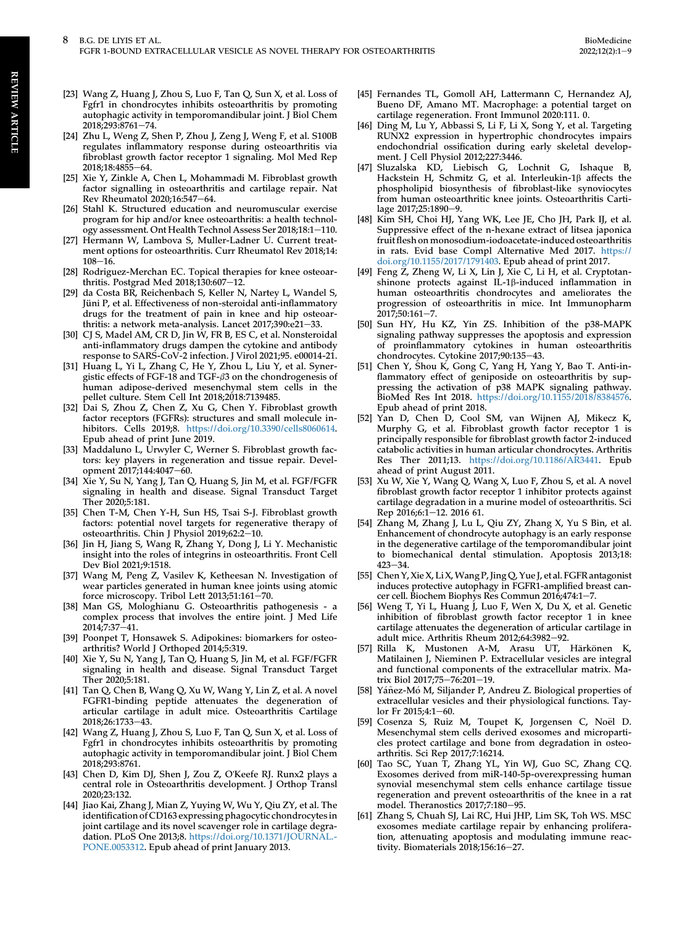- <span id="page-8-0"></span>[23] Wang Z, Huang J, Zhou S, Luo F, Tan Q, Sun X, et al. Loss of Fgfr1 in chondrocytes inhibits osteoarthritis by promoting autophagic activity in temporomandibular joint. J Biol Chem 2018;293:8761-74.
- <span id="page-8-1"></span>[24] Zhu L, Weng Z, Shen P, Zhou J, Zeng J, Weng F, et al. S100B regulates inflammatory response during osteoarthritis via fibroblast growth factor receptor 1 signaling. Mol Med Rep 2018:18:4855-64.
- <span id="page-8-2"></span>[25] Xie Y, Zinkle A, Chen L, Mohammadi M. Fibroblast growth factor signalling in osteoarthritis and cartilage repair. Nat Rev Rheumatol 2020;16:547-64.
- <span id="page-8-3"></span>[26] Stahl K. Structured education and neuromuscular exercise program for hip and/or knee osteoarthritis: a health technology assessment. Ont Health Technol Assess Ser 2018;18:1-110.
- <span id="page-8-4"></span>[27] Hermann W, Lambova S, Muller-Ladner U. Current treatment options for osteoarthritis. Curr Rheumatol Rev 2018;14:  $108 - 16$ .
- <span id="page-8-5"></span>[28] Rodriguez-Merchan EC. Topical therapies for knee osteoarthritis. Postgrad Med 2018;130:607-12
- <span id="page-8-6"></span>[29] da Costa BR, Reichenbach S, Keller N, Nartey L, Wandel S, Jüni P, et al. Effectiveness of non-steroidal anti-inflammatory drugs for the treatment of pain in knee and hip osteoarthritis: a network meta-analysis. Lancet  $2017:390: e<sup>2</sup>1-33$ .
- <span id="page-8-7"></span>[30] CJ S, Madel AM, CR D, Jin W, FR B, ES C, et al. Nonsteroidal anti-inflammatory drugs dampen the cytokine and antibody response to SARS-CoV-2 infection. J Virol 2021;95. e00014-21.
- <span id="page-8-8"></span>[31] Huang L, Yi L, Zhang C, He Y, Zhou L, Liu Y, et al. Synergistic effects of FGF-18 and TGF-b3 on the chondrogenesis of human adipose-derived mesenchymal stem cells in the pellet culture. Stem Cell Int 2018;2018:7139485.
- <span id="page-8-9"></span>[32] Dai S, Zhou Z, Chen Z, Xu G, Chen Y. Fibroblast growth factor receptors (FGFRs): structures and small molecule inhibitors. Cells 2019;8. <https://doi.org/10.3390/cells8060614>. Epub ahead of print June 2019.
- <span id="page-8-10"></span>[33] Maddaluno L, Urwyler C, Werner S. Fibroblast growth factors: key players in regeneration and tissue repair. Development 2017;144:4047-60.
- <span id="page-8-11"></span>[34] Xie Y, Su N, Yang J, Tan Q, Huang S, Jin M, et al. FGF/FGFR signaling in health and disease. Signal Transduct Target Ther 2020;5:181.
- <span id="page-8-12"></span>[35] Chen T-M, Chen Y-H, Sun HS, Tsai S-J. Fibroblast growth factors: potential novel targets for regenerative therapy of osteoarthritis. Chin J Physiol 2019;62:2-10.
- <span id="page-8-13"></span>[36] Jin H, Jiang S, Wang R, Zhang Y, Dong J, Li Y. Mechanistic insight into the roles of integrins in osteoarthritis. Front Cell Dev Biol 2021;9:1518.
- <span id="page-8-14"></span>[37] Wang M, Peng Z, Vasilev K, Ketheesan N. Investigation of wear particles generated in human knee joints using atomic force microscopy. Tribol Lett 2013;51:161-70.
- <span id="page-8-15"></span>[38] Man GS, Mologhianu G. Osteoarthritis pathogenesis - a complex process that involves the entire joint. J Med Life  $2014:7:37-41.$
- <span id="page-8-16"></span>[39] Poonpet T, Honsawek S. Adipokines: biomarkers for osteoarthritis? World J Orthoped 2014;5:319.
- <span id="page-8-17"></span>[40] Xie Y, Su N, Yang J, Tan Q, Huang S, Jin M, et al. FGF/FGFR signaling in health and disease. Signal Transduct Target Ther 2020;5:181.
- <span id="page-8-18"></span>[41] Tan Q, Chen B, Wang Q, Xu W, Wang Y, Lin Z, et al. A novel FGFR1-binding peptide attenuates the degeneration of articular cartilage in adult mice. Osteoarthritis Cartilage 2018;26:1733-43.
- <span id="page-8-19"></span>[42] Wang Z, Huang J, Zhou S, Luo F, Tan Q, Sun X, et al. Loss of Fgfr1 in chondrocytes inhibits osteoarthritis by promoting autophagic activity in temporomandibular joint. J Biol Chem 2018;293:8761.
- <span id="page-8-20"></span>[43] Chen D, Kim DJ, Shen J, Zou Z, O'Keefe RJ. Runx2 plays a central role in Osteoarthritis development. J Orthop Transl 2020;23:132.
- <span id="page-8-21"></span>[44] Jiao Kai, Zhang J, Mian Z, Yuying W, Wu Y, Qiu ZY, et al. The identification of CD163 expressing phagocytic chondrocytes in joint cartilage and its novel scavenger role in cartilage degradation. PLoS One 2013;8. [https://doi.org/10.1371/JOURNAL.-](https://doi.org/10.1371/JOURNAL.PONE.0053312) [PONE.0053312.](https://doi.org/10.1371/JOURNAL.PONE.0053312) Epub ahead of print January 2013.
- <span id="page-8-22"></span>[45] Fernandes TL, Gomoll AH, Lattermann C, Hernandez AJ, Bueno DF, Amano MT. Macrophage: a potential target on cartilage regeneration. Front Immunol 2020:111. 0.
- <span id="page-8-23"></span>[46] Ding M, Lu Y, Abbassi S, Li F, Li X, Song Y, et al. Targeting RUNX2 expression in hypertrophic chondrocytes impairs endochondrial ossification during early skeletal development. J Cell Physiol 2012;227:3446.
- <span id="page-8-24"></span>[47] Sluzalska KD, Liebisch G, Lochnit G, Ishaque B, Hackstein H, Schmitz G, et al. Interleukin-1 $\beta$  affects the phospholipid biosynthesis of fibroblast-like synoviocytes from human osteoarthritic knee joints. Osteoarthritis Cartilage 2017;25:1890-9.
- [48] Kim SH, Choi HJ, Yang WK, Lee JE, Cho JH, Park IJ, et al. Suppressive effect of the n-hexane extract of litsea japonica fruit flesh on monosodium-iodoacetate-induced osteoarthritis in rats. Evid base Compl Alternative Med 2017. [https://](https://doi.org/10.1155/2017/1791403) [doi.org/10.1155/2017/1791403](https://doi.org/10.1155/2017/1791403). Epub ahead of print 2017.
- <span id="page-8-25"></span>[49] Feng Z, Zheng W, Li X, Lin J, Xie C, Li H, et al. Cryptotanshinone protects against IL-1b-induced inflammation in human osteoarthritis chondrocytes and ameliorates the progression of osteoarthritis in mice. Int Immunopharm 2017;50:161–7.
- <span id="page-8-26"></span>[50] Sun HY, Hu KZ, Yin ZS. Inhibition of the p38-MAPK signaling pathway suppresses the apoptosis and expression of proinflammatory cytokines in human osteoarthritis chondrocytes. Cytokine 2017;90:135-43.
- <span id="page-8-27"></span>[51] Chen Y, Shou K, Gong C, Yang H, Yang Y, Bao T. Anti-inflammatory effect of geniposide on osteoarthritis by suppressing the activation of p38 MAPK signaling pathway. BioMed Res Int 2018. <https://doi.org/10.1155/2018/8384576>. Epub ahead of print 2018.
- <span id="page-8-28"></span>[52] Yan D, Chen D, Cool SM, van Wijnen AJ, Mikecz K, Murphy G, et al. Fibroblast growth factor receptor 1 is principally responsible for fibroblast growth factor 2-induced catabolic activities in human articular chondrocytes. Arthritis Res Ther 2011;13. <https://doi.org/10.1186/AR3441>. Epub ahead of print August 2011.
- <span id="page-8-29"></span>[53] Xu W, Xie Y, Wang Q, Wang X, Luo F, Zhou S, et al. A novel fibroblast growth factor receptor 1 inhibitor protects against cartilage degradation in a murine model of osteoarthritis. Sci Rep 2016;6:1-12. 2016 61.
- <span id="page-8-30"></span>[54] Zhang M, Zhang J, Lu L, Qiu ZY, Zhang X, Yu S Bin, et al. Enhancement of chondrocyte autophagy is an early response in the degenerative cartilage of the temporomandibular joint to biomechanical dental stimulation. Apoptosis 2013;18:  $423 - 34.$
- <span id="page-8-31"></span>[55] Chen Y, Xie X, Li X, Wang P, Jing Q, Yue J, et al. FGFR antagonist induces protective autophagy in FGFR1-amplified breast cancer cell. Biochem Biophys Res Commun 2016;474:1-7.
- <span id="page-8-32"></span>[56] Weng T, Yi L, Huang J, Luo F, Wen X, Du X, et al. Genetic inhibition of fibroblast growth factor receptor 1 in knee cartilage attenuates the degeneration of articular cartilage in adult mice. Arthritis Rheum 2012;64:3982-92.
- <span id="page-8-33"></span>[57] Rilla K, Mustonen A-M, Arasu UT, Härkönen K, Matilainen J, Nieminen P. Extracellular vesicles are integral and functional components of the extracellular matrix. Matrix Biol 2017;75-76:201-19.
- <span id="page-8-34"></span>[58] Yáñez-Mó M, Siljander P, Andreu Z. Biological properties of extracellular vesicles and their physiological functions. Taylor Fr 2015;4:1-60.
- <span id="page-8-35"></span>[59] Cosenza S, Ruiz M, Toupet K, Jorgensen C, Noël D. Mesenchymal stem cells derived exosomes and microparticles protect cartilage and bone from degradation in osteoarthritis. Sci Rep 2017;7:16214.
- [60] Tao SC, Yuan T, Zhang YL, Yin WJ, Guo SC, Zhang CQ. Exosomes derived from miR-140-5p-overexpressing human synovial mesenchymal stem cells enhance cartilage tissue regeneration and prevent osteoarthritis of the knee in a rat model. Theranostics 2017;7:180-95.
- [61] Zhang S, Chuah SJ, Lai RC, Hui JHP, Lim SK, Toh WS. MSC exosomes mediate cartilage repair by enhancing proliferation, attenuating apoptosis and modulating immune reactivity. Biomaterials  $2018;156:16-27$ .